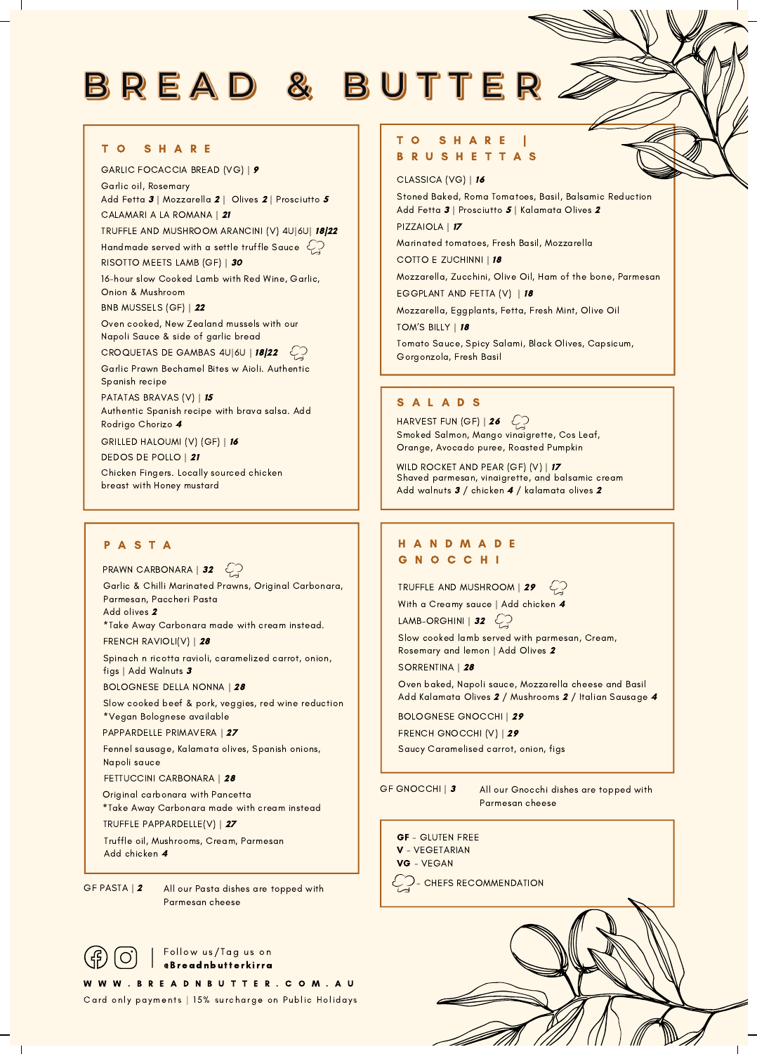# BREAD & BUTTER.

### T O S H A R E

GARLIC FOCACCIA BREAD (VG) | 9 Garlic oil, Rosemary Add Fetta 3 | Mozzarella 2 | Olives 2 | Prosciutto 5 | Stoned Baked, Roma Tomatoes, Basil, Balsamic Reduction CALAMARI A LA ROMANA | 21 TRUFFLE AND MUSHROOM ARANCINI (V) 4U|6U| 18|22 Handmade served with a settle truffle Sauce  $\mathcal{L}$   $\Box$  Marinated tomatoes, Fresh Basil, Mozzarella RISOTTO MEETS LAMB (GF) | 30 16-hour slow Cooked Lamb with Red Wine, Garlic, Onion & Mushroom BNB MUSSELS (GF) | 22 Oven cooked, New Zealand mussels with our Napoli Sauce & side of garlic bread CROQUETAS DE GAMBAS 4U|6U | 18/22  $\mathcal{L}$ Garlic Prawn Bechamel Bites w Aioli. Authentic Spanish recipe PATATAS BRAVAS (V) | 15 Authentic Spanish recipe with brava salsa. Add Rodrigo Chorizo 4 GRILLED HALOUMI (V) (GF) | 16 DEDOS DE POLLO | 21 Chicken Fingers. Locally sourced chicken breast with Honey mustard

Garlic & Chilli Marinated Prawns, Original Carbonara, Parmesan, Paccheri Pasta Add olives 2 PRAWN CARBONARA | 32

\*Take Away Carbonara made with cream instead.

FRENCH RAVIOLI(V) | 28

Spinach n ricotta ravioli, caramelized carrot, onion, figs | Add Walnuts 3

BOLOGNESE DELLA NONNA | 28

Slow cooked beef & pork, veggies, red wine reduction \*Vegan Bolognese available

PAPPARDELLE PRIMAVERA | 27

Fennel sausage, Kalamata olives, Spanish onions, Napoli sauce

FETTUCCINI CARBONARA | 28

Original carbonara with Pancetta \*Take Away Carbonara made with cream instead

TRUFFLE PAPPARDELLE(V) | 27

Truffle oil, Mushrooms, Cream, Parmesan Add chicken 4

GF PASTA | 2 All our Pasta dishes are topped with Parmesan cheese

### Follow us/Tag us on @Breadnbutterkirra

W W W . B R E A D N B U T T E R . C O M . A U Card only payments | 15% surcharge on Public Holidays

### T O S H A R E | B R U S H E T T A S

CLASSICA (VG) | 16

Add Fetta 3 | Prosciutto 5 | Kalamata Olives 2

PIZZAIOLA | 17

COTTO E ZUCHINNI | 18

Mozzarella, Zucchini, Olive Oil, Ham of the bone, Parmesan EGGPLANT AND FETTA (V) | 18

Mozzarella, Eggplants, Fetta, Fresh Mint, Olive Oil

TOM'S BILLY | 18

Tomato Sauce, Spicy Salami, Black Olives, Capsicum, Gorgonzola, Fresh Basil

### S A L A D S

HARVEST FUN (GF) | 26  $\bigcirc$ Smoked Salmon, Mango vinaigrette, Cos Leaf, Orange, Avocado puree, Roasted Pumpkin

WILD ROCKET AND PEAR (GF) (V) | 17 Shaved parmesan, vinaigrette, and balsamic cream Add walnuts 3 / chicken 4 / kalamata olives 2

### P A S T A H A N D M A D E G N O C C H I

TRUFFLE AND MUSHROOM  $\overline{29}$ 

With a Creamy sauce | Add chicken 4

LAMB–ORGHINI | 32  $\mathbb{C}$ 

Slow cooked lamb served with parmesan, Cream, Rosemary and lemon | Add Olives 2

SORRENTINA | 28

Oven baked, Napoli sauce, Mozzarella cheese and Basil Add Kalamata Olives 2 / Mushrooms 2 / Italian Sausage 4

BOLOGNESE GNOCCHI | 29

FRENCH GNOCCHI (V) | 29

Saucy Caramelised carrot, onion, figs

GF GNOCCHI | 3 All our Gnocchi dishes are topped with Parmesan cheese

- GF GLUTEN FREE V - VEGETARIAN
- VG VEGAN

 $\hookrightarrow$   $\rightarrow$  - CHEFS RECOMMENDATION